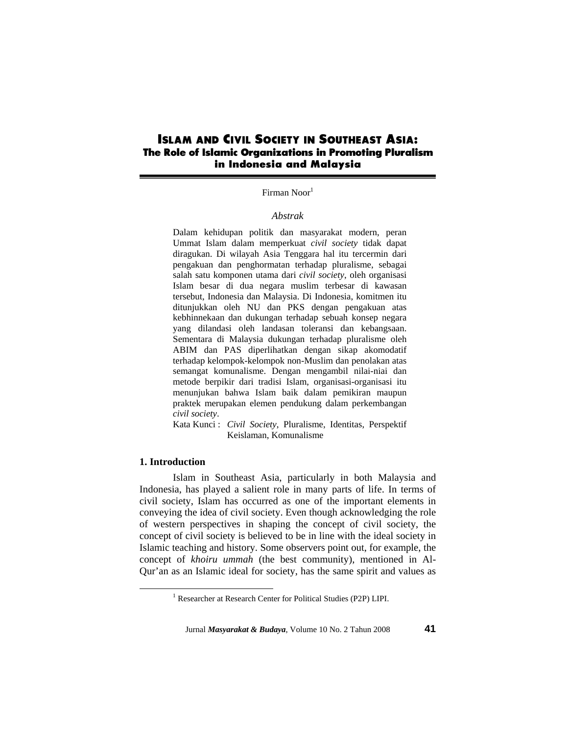# **ISLAM AND CIVIL SOCIETY IN SOUTHEAST ASIA: The Role of Islamic Organizations in Promoting Pluralism in Indonesia and Malaysia**

# Firman Noor<sup>1</sup>

### *Abstrak*

Dalam kehidupan politik dan masyarakat modern, peran Ummat Islam dalam memperkuat *civil society* tidak dapat diragukan. Di wilayah Asia Tenggara hal itu tercermin dari pengakuan dan penghormatan terhadap pluralisme, sebagai salah satu komponen utama dari *civil society*, oleh organisasi Islam besar di dua negara muslim terbesar di kawasan tersebut, Indonesia dan Malaysia. Di Indonesia, komitmen itu ditunjukkan oleh NU dan PKS dengan pengakuan atas kebhinnekaan dan dukungan terhadap sebuah konsep negara yang dilandasi oleh landasan toleransi dan kebangsaan. Sementara di Malaysia dukungan terhadap pluralisme oleh ABIM dan PAS diperlihatkan dengan sikap akomodatif terhadap kelompok-kelompok non-Muslim dan penolakan atas semangat komunalisme. Dengan mengambil nilai-niai dan metode berpikir dari tradisi Islam, organisasi-organisasi itu menunjukan bahwa Islam baik dalam pemikiran maupun praktek merupakan elemen pendukung dalam perkembangan *civil society*.

Kata Kunci : *Civil Society*, Pluralisme, Identitas, Perspektif Keislaman, Komunalisme

#### **1. Introduction**

 Islam in Southeast Asia, particularly in both Malaysia and Indonesia, has played a salient role in many parts of life. In terms of civil society, Islam has occurred as one of the important elements in conveying the idea of civil society. Even though acknowledging the role of western perspectives in shaping the concept of civil society, the concept of civil society is believed to be in line with the ideal society in Islamic teaching and history. Some observers point out, for example, the concept of *khoiru ummah* (the best community), mentioned in Al-Qur'an as an Islamic ideal for society, has the same spirit and values as

 $\frac{1}{1}$ Researcher at Research Center for Political Studies (P2P) LIPI.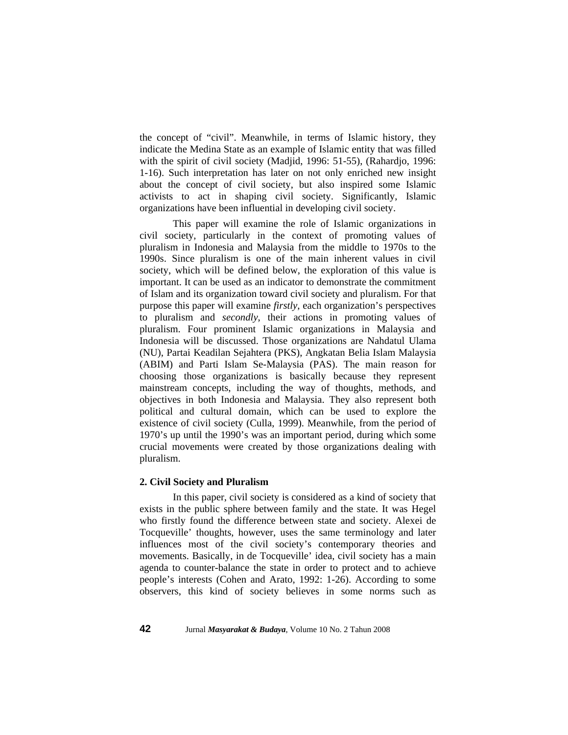the concept of "civil". Meanwhile, in terms of Islamic history, they indicate the Medina State as an example of Islamic entity that was filled with the spirit of civil society (Madjid, 1996: 51-55), (Rahardjo, 1996: 1-16). Such interpretation has later on not only enriched new insight about the concept of civil society, but also inspired some Islamic activists to act in shaping civil society. Significantly, Islamic organizations have been influential in developing civil society.

This paper will examine the role of Islamic organizations in civil society, particularly in the context of promoting values of pluralism in Indonesia and Malaysia from the middle to 1970s to the 1990s. Since pluralism is one of the main inherent values in civil society, which will be defined below, the exploration of this value is important. It can be used as an indicator to demonstrate the commitment of Islam and its organization toward civil society and pluralism. For that purpose this paper will examine *firstly*, each organization's perspectives to pluralism and *secondly*, their actions in promoting values of pluralism. Four prominent Islamic organizations in Malaysia and Indonesia will be discussed. Those organizations are Nahdatul Ulama (NU), Partai Keadilan Sejahtera (PKS), Angkatan Belia Islam Malaysia (ABIM) and Parti Islam Se-Malaysia (PAS). The main reason for choosing those organizations is basically because they represent mainstream concepts, including the way of thoughts, methods, and objectives in both Indonesia and Malaysia. They also represent both political and cultural domain, which can be used to explore the existence of civil society (Culla, 1999). Meanwhile, from the period of 1970's up until the 1990's was an important period, during which some crucial movements were created by those organizations dealing with pluralism.

### **2. Civil Society and Pluralism**

 In this paper, civil society is considered as a kind of society that exists in the public sphere between family and the state. It was Hegel who firstly found the difference between state and society. Alexei de Tocqueville' thoughts, however, uses the same terminology and later influences most of the civil society's contemporary theories and movements. Basically, in de Tocqueville' idea, civil society has a main agenda to counter-balance the state in order to protect and to achieve people's interests (Cohen and Arato, 1992: 1-26). According to some observers, this kind of society believes in some norms such as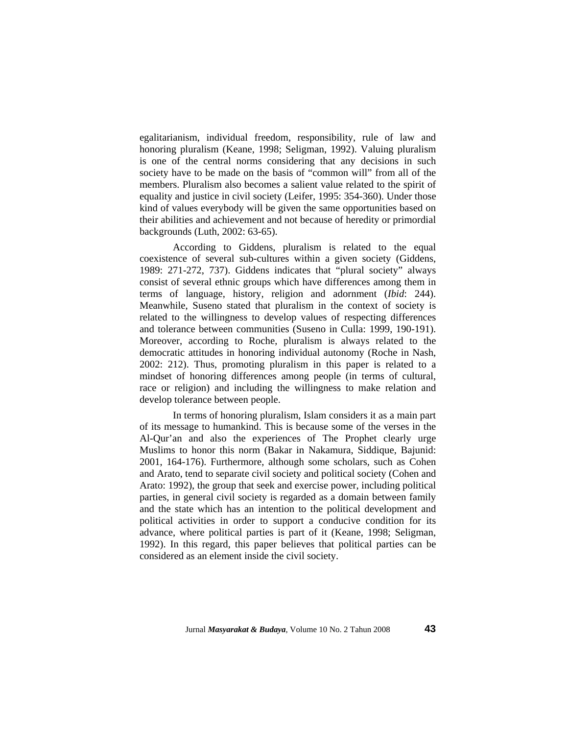egalitarianism, individual freedom, responsibility, rule of law and honoring pluralism (Keane, 1998; Seligman, 1992). Valuing pluralism is one of the central norms considering that any decisions in such society have to be made on the basis of "common will" from all of the members. Pluralism also becomes a salient value related to the spirit of equality and justice in civil society (Leifer, 1995: 354-360). Under those kind of values everybody will be given the same opportunities based on their abilities and achievement and not because of heredity or primordial backgrounds (Luth, 2002: 63-65).

According to Giddens, pluralism is related to the equal coexistence of several sub-cultures within a given society (Giddens, 1989: 271-272, 737). Giddens indicates that "plural society" always consist of several ethnic groups which have differences among them in terms of language, history, religion and adornment (*Ibid*: 244). Meanwhile, Suseno stated that pluralism in the context of society is related to the willingness to develop values of respecting differences and tolerance between communities (Suseno in Culla: 1999, 190-191). Moreover, according to Roche, pluralism is always related to the democratic attitudes in honoring individual autonomy (Roche in Nash, 2002: 212). Thus, promoting pluralism in this paper is related to a mindset of honoring differences among people (in terms of cultural, race or religion) and including the willingness to make relation and develop tolerance between people.

In terms of honoring pluralism, Islam considers it as a main part of its message to humankind. This is because some of the verses in the Al-Qur'an and also the experiences of The Prophet clearly urge Muslims to honor this norm (Bakar in Nakamura, Siddique, Bajunid: 2001, 164-176). Furthermore, although some scholars, such as Cohen and Arato, tend to separate civil society and political society (Cohen and Arato: 1992), the group that seek and exercise power, including political parties, in general civil society is regarded as a domain between family and the state which has an intention to the political development and political activities in order to support a conducive condition for its advance, where political parties is part of it (Keane, 1998; Seligman, 1992). In this regard, this paper believes that political parties can be considered as an element inside the civil society.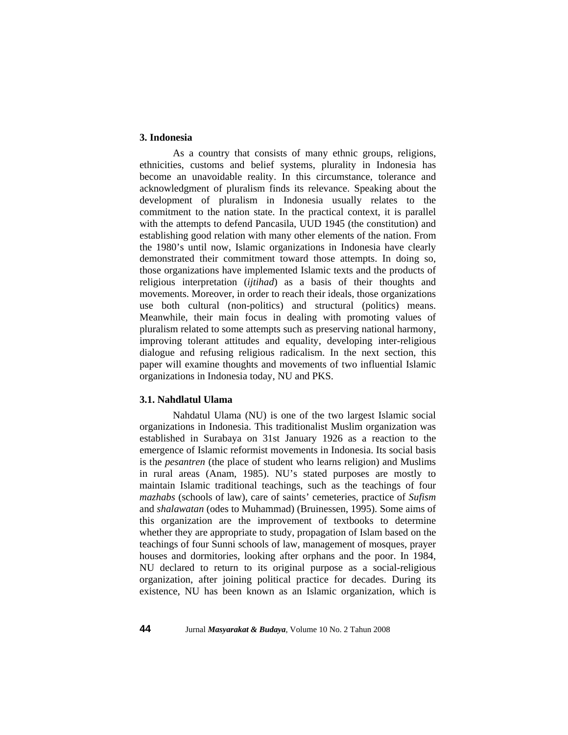# **3. Indonesia**

 As a country that consists of many ethnic groups, religions, ethnicities, customs and belief systems, plurality in Indonesia has become an unavoidable reality. In this circumstance, tolerance and acknowledgment of pluralism finds its relevance. Speaking about the development of pluralism in Indonesia usually relates to the commitment to the nation state. In the practical context, it is parallel with the attempts to defend Pancasila, UUD 1945 (the constitution) and establishing good relation with many other elements of the nation. From the 1980's until now, Islamic organizations in Indonesia have clearly demonstrated their commitment toward those attempts. In doing so, those organizations have implemented Islamic texts and the products of religious interpretation (*ijtihad*) as a basis of their thoughts and movements. Moreover, in order to reach their ideals, those organizations use both cultural (non-politics) and structural (politics) means. Meanwhile, their main focus in dealing with promoting values of pluralism related to some attempts such as preserving national harmony, improving tolerant attitudes and equality, developing inter-religious dialogue and refusing religious radicalism. In the next section, this paper will examine thoughts and movements of two influential Islamic organizations in Indonesia today, NU and PKS.

# **3.1. Nahdlatul Ulama**

 Nahdatul Ulama (NU) is one of the two largest Islamic social organizations in Indonesia. This traditionalist Muslim organization was established in Surabaya on 31st January 1926 as a reaction to the emergence of Islamic reformist movements in Indonesia. Its social basis is the *pesantren* (the place of student who learns religion) and Muslims in rural areas (Anam, 1985). NU's stated purposes are mostly to maintain Islamic traditional teachings, such as the teachings of four *mazhabs* (schools of law), care of saints' cemeteries, practice of *Sufism* and *shalawatan* (odes to Muhammad) (Bruinessen, 1995). Some aims of this organization are the improvement of textbooks to determine whether they are appropriate to study, propagation of Islam based on the teachings of four Sunni schools of law, management of mosques, prayer houses and dormitories, looking after orphans and the poor. In 1984, NU declared to return to its original purpose as a social-religious organization, after joining political practice for decades. During its existence, NU has been known as an Islamic organization, which is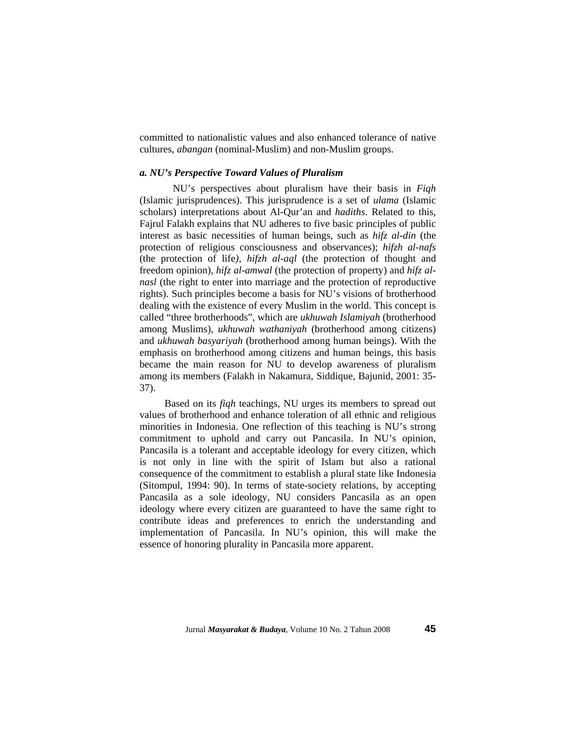committed to nationalistic values and also enhanced tolerance of native cultures, *abangan* (nominal-Muslim) and non-Muslim groups.

# *a. NU's Perspective Toward Values of Pluralism*

 NU's perspectives about pluralism have their basis in *Fiqh* (Islamic jurisprudences). This jurisprudence is a set of *ulama* (Islamic scholars) interpretations about Al-Qur'an and *hadiths*. Related to this, Fajrul Falakh explains that NU adheres to five basic principles of public interest as basic necessities of human beings, such as *hifz al-din* (the protection of religious consciousness and observances); *hifzh al-nafs* (the protection of life*), hifzh al-aql* (the protection of thought and freedom opinion), *hifz al-amwal* (the protection of property) and *hifz alnasl* (the right to enter into marriage and the protection of reproductive rights). Such principles become a basis for NU's visions of brotherhood dealing with the existence of every Muslim in the world. This concept is called "three brotherhoods", which are *ukhuwah Islamiyah* (brotherhood among Muslims), *ukhuwah wathaniyah* (brotherhood among citizens) and *ukhuwah basyariyah* (brotherhood among human beings). With the emphasis on brotherhood among citizens and human beings, this basis became the main reason for NU to develop awareness of pluralism among its members (Falakh in Nakamura, Siddique, Bajunid, 2001: 35- 37).

Based on its *fiqh* teachings, NU urges its members to spread out values of brotherhood and enhance toleration of all ethnic and religious minorities in Indonesia. One reflection of this teaching is NU's strong commitment to uphold and carry out Pancasila. In NU's opinion, Pancasila is a tolerant and acceptable ideology for every citizen, which is not only in line with the spirit of Islam but also a rational consequence of the commitment to establish a plural state like Indonesia (Sitompul, 1994: 90). In terms of state-society relations, by accepting Pancasila as a sole ideology, NU considers Pancasila as an open ideology where every citizen are guaranteed to have the same right to contribute ideas and preferences to enrich the understanding and implementation of Pancasila. In NU's opinion, this will make the essence of honoring plurality in Pancasila more apparent.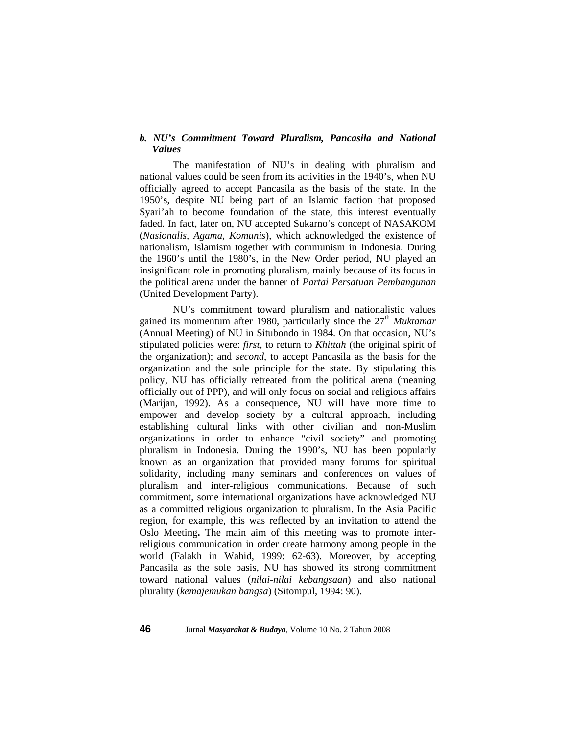# *b. NU's Commitment Toward Pluralism, Pancasila and National Values*

 The manifestation of NU's in dealing with pluralism and national values could be seen from its activities in the 1940's, when NU officially agreed to accept Pancasila as the basis of the state. In the 1950's, despite NU being part of an Islamic faction that proposed Syari'ah to become foundation of the state, this interest eventually faded. In fact, later on, NU accepted Sukarno's concept of NASAKOM (*Nasionalis, Agama, Komunis*), which acknowledged the existence of nationalism, Islamism together with communism in Indonesia. During the 1960's until the 1980's, in the New Order period, NU played an insignificant role in promoting pluralism, mainly because of its focus in the political arena under the banner of *Partai Persatuan Pembangunan* (United Development Party).

NU's commitment toward pluralism and nationalistic values gained its momentum after 1980, particularly since the 27<sup>th</sup> *Muktamar* (Annual Meeting) of NU in Situbondo in 1984. On that occasion, NU's stipulated policies were: *first*, to return to *Khittah* (the original spirit of the organization); and *second*, to accept Pancasila as the basis for the organization and the sole principle for the state. By stipulating this policy, NU has officially retreated from the political arena (meaning officially out of PPP), and will only focus on social and religious affairs (Marijan, 1992). As a consequence, NU will have more time to empower and develop society by a cultural approach, including establishing cultural links with other civilian and non-Muslim organizations in order to enhance "civil society" and promoting pluralism in Indonesia. During the 1990's, NU has been popularly known as an organization that provided many forums for spiritual solidarity, including many seminars and conferences on values of pluralism and inter-religious communications. Because of such commitment, some international organizations have acknowledged NU as a committed religious organization to pluralism. In the Asia Pacific region, for example, this was reflected by an invitation to attend the Oslo Meeting**.** The main aim of this meeting was to promote interreligious communication in order create harmony among people in the world (Falakh in Wahid, 1999: 62-63). Moreover, by accepting Pancasila as the sole basis, NU has showed its strong commitment toward national values (*nilai-nilai kebangsaan*) and also national plurality (*kemajemukan bangsa*) (Sitompul, 1994: 90).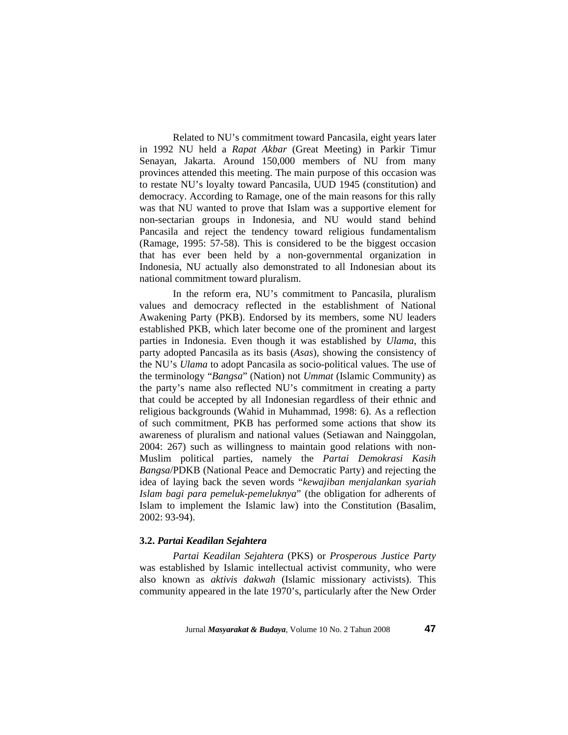Related to NU's commitment toward Pancasila, eight years later in 1992 NU held a *Rapat Akbar* (Great Meeting) in Parkir Timur Senayan, Jakarta. Around 150,000 members of NU from many provinces attended this meeting. The main purpose of this occasion was to restate NU's loyalty toward Pancasila, UUD 1945 (constitution) and democracy. According to Ramage, one of the main reasons for this rally was that NU wanted to prove that Islam was a supportive element for non-sectarian groups in Indonesia, and NU would stand behind Pancasila and reject the tendency toward religious fundamentalism (Ramage, 1995: 57-58). This is considered to be the biggest occasion that has ever been held by a non-governmental organization in Indonesia, NU actually also demonstrated to all Indonesian about its national commitment toward pluralism.

In the reform era, NU's commitment to Pancasila, pluralism values and democracy reflected in the establishment of National Awakening Party (PKB). Endorsed by its members, some NU leaders established PKB, which later become one of the prominent and largest parties in Indonesia. Even though it was established by *Ulama*, this party adopted Pancasila as its basis (*Asas*), showing the consistency of the NU's *Ulama* to adopt Pancasila as socio-political values. The use of the terminology "*Bangsa*" (Nation) not *Ummat* (Islamic Community) as the party's name also reflected NU's commitment in creating a party that could be accepted by all Indonesian regardless of their ethnic and religious backgrounds (Wahid in Muhammad, 1998: 6). As a reflection of such commitment, PKB has performed some actions that show its awareness of pluralism and national values (Setiawan and Nainggolan, 2004: 267) such as willingness to maintain good relations with non-Muslim political parties, namely the *Partai Demokrasi Kasih Bangsa*/PDKB (National Peace and Democratic Party) and rejecting the idea of laying back the seven words "*kewajiban menjalankan syariah Islam bagi para pemeluk-pemeluknya*" (the obligation for adherents of Islam to implement the Islamic law) into the Constitution (Basalim, 2002: 93-94).

# **3.2.** *Partai Keadilan Sejahtera*

*Partai Keadilan Sejahtera* (PKS) or *Prosperous Justice Party* was established by Islamic intellectual activist community, who were also known as *aktivis dakwah* (Islamic missionary activists). This community appeared in the late 1970's, particularly after the New Order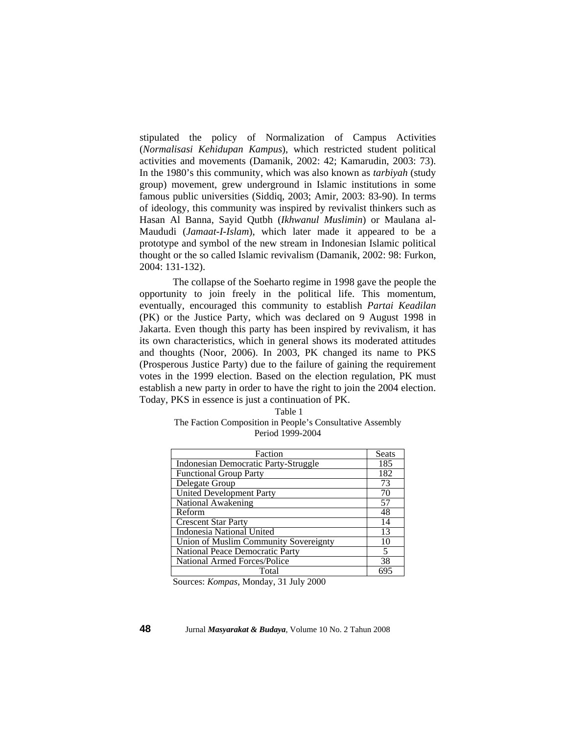stipulated the policy of Normalization of Campus Activities (*Normalisasi Kehidupan Kampus*), which restricted student political activities and movements (Damanik, 2002: 42; Kamarudin, 2003: 73). In the 1980's this community, which was also known as *tarbiyah* (study group) movement, grew underground in Islamic institutions in some famous public universities (Siddiq, 2003; Amir, 2003: 83-90). In terms of ideology, this community was inspired by revivalist thinkers such as Hasan Al Banna, Sayid Qutbh (*Ikhwanul Muslimin*) or Maulana al-Maududi (*Jamaat-I-Islam*), which later made it appeared to be a prototype and symbol of the new stream in Indonesian Islamic political thought or the so called Islamic revivalism (Damanik, 2002: 98: Furkon, 2004: 131-132).

 The collapse of the Soeharto regime in 1998 gave the people the opportunity to join freely in the political life. This momentum, eventually, encouraged this community to establish *Partai Keadilan* (PK) or the Justice Party, which was declared on 9 August 1998 in Jakarta. Even though this party has been inspired by revivalism, it has its own characteristics, which in general shows its moderated attitudes and thoughts (Noor, 2006). In 2003, PK changed its name to PKS (Prosperous Justice Party) due to the failure of gaining the requirement votes in the 1999 election. Based on the election regulation, PK must establish a new party in order to have the right to join the 2004 election. Today, PKS in essence is just a continuation of PK.

| Table 1                                                   |
|-----------------------------------------------------------|
| The Faction Composition in People's Consultative Assembly |
| Period 1999-2004                                          |

| Faction                                     | Seats |
|---------------------------------------------|-------|
| <b>Indonesian Democratic Party-Struggle</b> | 185   |
| <b>Functional Group Party</b>               | 182   |
| Delegate Group                              | 73    |
| <b>United Development Party</b>             | 70    |
| National Awakening                          | 57    |
| Reform                                      | 48    |
| <b>Crescent Star Party</b>                  | 14    |
| Indonesia National United                   | 13    |
| Union of Muslim Community Sovereignty       | 10    |
| National Peace Democratic Party             | 5     |
| National Armed Forces/Police                | 38    |
| Total                                       | 69'   |

Sources: *Kompas*, Monday, 31 July 2000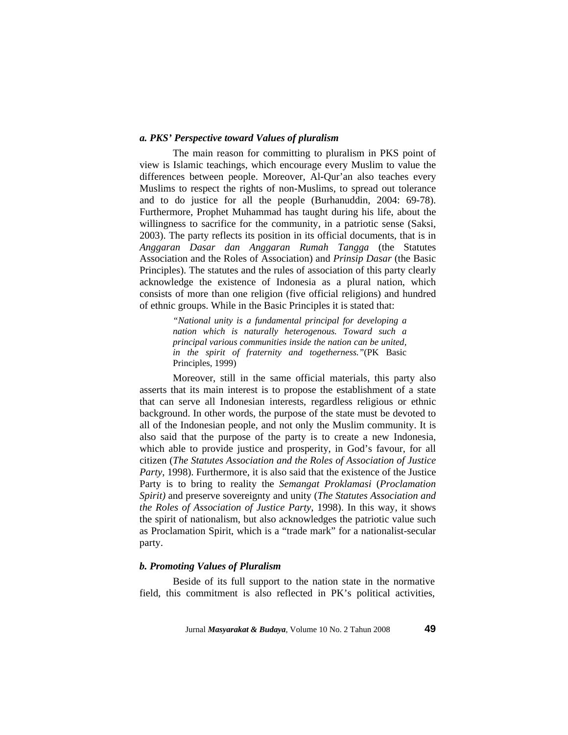# *a. PKS' Perspective toward Values of pluralism*

 The main reason for committing to pluralism in PKS point of view is Islamic teachings, which encourage every Muslim to value the differences between people. Moreover, Al-Qur'an also teaches every Muslims to respect the rights of non-Muslims, to spread out tolerance and to do justice for all the people (Burhanuddin, 2004: 69-78). Furthermore, Prophet Muhammad has taught during his life, about the willingness to sacrifice for the community, in a patriotic sense (Saksi, 2003). The party reflects its position in its official documents, that is in *Anggaran Dasar dan Anggaran Rumah Tangga* (the Statutes Association and the Roles of Association) and *Prinsip Dasar* (the Basic Principles). The statutes and the rules of association of this party clearly acknowledge the existence of Indonesia as a plural nation, which consists of more than one religion (five official religions) and hundred of ethnic groups. While in the Basic Principles it is stated that:

> *"National unity is a fundamental principal for developing a nation which is naturally heterogenous. Toward such a principal various communities inside the nation can be united, in the spirit of fraternity and togetherness."*(PK Basic Principles, 1999)

Moreover, still in the same official materials, this party also asserts that its main interest is to propose the establishment of a state that can serve all Indonesian interests, regardless religious or ethnic background. In other words, the purpose of the state must be devoted to all of the Indonesian people, and not only the Muslim community. It is also said that the purpose of the party is to create a new Indonesia, which able to provide justice and prosperity, in God's favour, for all citizen (*The Statutes Association and the Roles of Association of Justice Party*, 1998). Furthermore, it is also said that the existence of the Justice Party is to bring to reality the *Semangat Proklamasi* (*Proclamation Spirit)* and preserve sovereignty and unity (*The Statutes Association and the Roles of Association of Justice Party*, 1998). In this way, it shows the spirit of nationalism, but also acknowledges the patriotic value such as Proclamation Spirit, which is a "trade mark" for a nationalist-secular party.

## *b. Promoting Values of Pluralism*

 Beside of its full support to the nation state in the normative field, this commitment is also reflected in PK's political activities,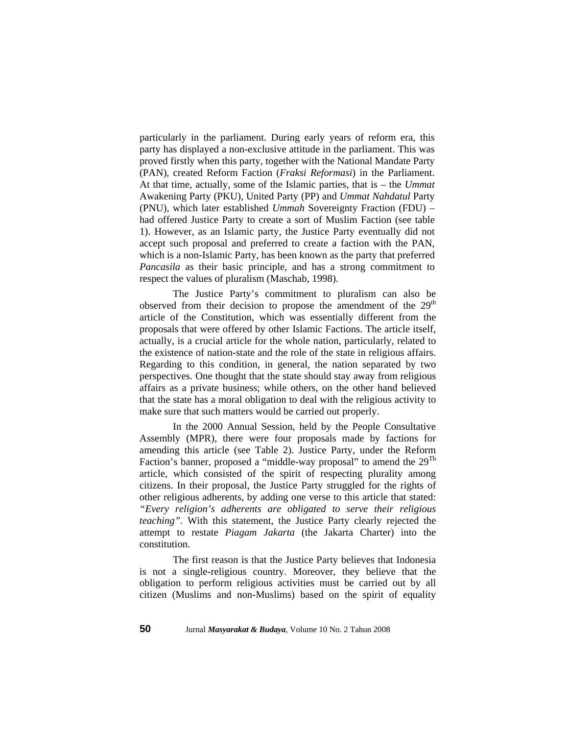particularly in the parliament. During early years of reform era, this party has displayed a non-exclusive attitude in the parliament. This was proved firstly when this party, together with the National Mandate Party (PAN), created Reform Faction (*Fraksi Reformasi*) in the Parliament. At that time, actually, some of the Islamic parties, that is – the *Ummat* Awakening Party (PKU), United Party (PP) and *Ummat Nahdatul* Party (PNU), which later established *Ummah* Sovereignty Fraction (FDU) – had offered Justice Party to create a sort of Muslim Faction (see table 1). However, as an Islamic party, the Justice Party eventually did not accept such proposal and preferred to create a faction with the PAN, which is a non-Islamic Party, has been known as the party that preferred *Pancasila* as their basic principle, and has a strong commitment to respect the values of pluralism (Maschab, 1998).

The Justice Party's commitment to pluralism can also be observed from their decision to propose the amendment of the 29<sup>th</sup> article of the Constitution, which was essentially different from the proposals that were offered by other Islamic Factions. The article itself, actually, is a crucial article for the whole nation, particularly, related to the existence of nation-state and the role of the state in religious affairs. Regarding to this condition, in general, the nation separated by two perspectives. One thought that the state should stay away from religious affairs as a private business; while others, on the other hand believed that the state has a moral obligation to deal with the religious activity to make sure that such matters would be carried out properly.

In the 2000 Annual Session, held by the People Consultative Assembly (MPR), there were four proposals made by factions for amending this article (see Table 2). Justice Party, under the Reform Faction's banner, proposed a "middle-way proposal" to amend the 29<sup>Th</sup> article, which consisted of the spirit of respecting plurality among citizens. In their proposal, the Justice Party struggled for the rights of other religious adherents, by adding one verse to this article that stated: *"Every religion's adherents are obligated to serve their religious teaching".* With this statement, the Justice Party clearly rejected the attempt to restate *Piagam Jakarta* (the Jakarta Charter) into the constitution.

The first reason is that the Justice Party believes that Indonesia is not a single-religious country. Moreover, they believe that the obligation to perform religious activities must be carried out by all citizen (Muslims and non-Muslims) based on the spirit of equality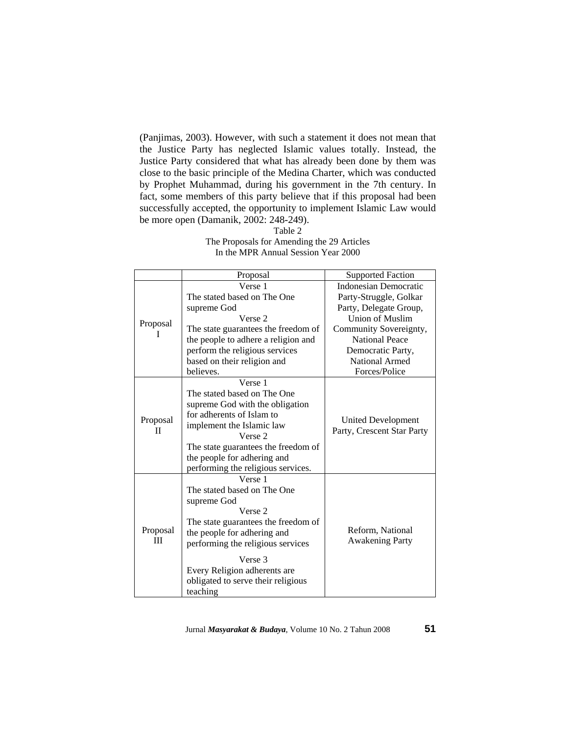(Panjimas, 2003). However, with such a statement it does not mean that the Justice Party has neglected Islamic values totally. Instead, the Justice Party considered that what has already been done by them was close to the basic principle of the Medina Charter, which was conducted by Prophet Muhammad, during his government in the 7th century. In fact, some members of this party believe that if this proposal had been successfully accepted, the opportunity to implement Islamic Law would be more open (Damanik, 2002: 248-249).

Table 2

| Verse 1<br>Indonesian Democratic<br>The stated based on The One<br>Party-Struggle, Golkar<br>Party, Delegate Group,<br>supreme God<br>Union of Muslim<br>Verse 2<br>Proposal<br>Community Sovereignty,<br>The state guarantees the freedom of<br><b>National Peace</b><br>the people to adhere a religion and<br>perform the religious services<br>Democratic Party,<br>National Armed<br>based on their religion and<br>Forces/Police<br>believes.<br>Verse 1<br>The stated based on The One<br>supreme God with the obligation<br>for adherents of Islam to<br>Proposal<br>United Development<br>implement the Islamic law<br>Party, Crescent Star Party<br>П<br>Verse 2<br>The state guarantees the freedom of<br>the people for adhering and<br>performing the religious services.<br>Verse 1<br>The stated based on The One<br>supreme God<br>Verse 2<br>The state guarantees the freedom of<br>Reform, National<br>Proposal<br>the people for adhering and<br>Ш<br><b>Awakening Party</b><br>performing the religious services<br>Verse 3<br>Every Religion adherents are<br>obligated to serve their religious |  | Proposal | <b>Supported Faction</b> |  |
|-----------------------------------------------------------------------------------------------------------------------------------------------------------------------------------------------------------------------------------------------------------------------------------------------------------------------------------------------------------------------------------------------------------------------------------------------------------------------------------------------------------------------------------------------------------------------------------------------------------------------------------------------------------------------------------------------------------------------------------------------------------------------------------------------------------------------------------------------------------------------------------------------------------------------------------------------------------------------------------------------------------------------------------------------------------------------------------------------------------------------|--|----------|--------------------------|--|
|                                                                                                                                                                                                                                                                                                                                                                                                                                                                                                                                                                                                                                                                                                                                                                                                                                                                                                                                                                                                                                                                                                                       |  |          |                          |  |
|                                                                                                                                                                                                                                                                                                                                                                                                                                                                                                                                                                                                                                                                                                                                                                                                                                                                                                                                                                                                                                                                                                                       |  |          |                          |  |
|                                                                                                                                                                                                                                                                                                                                                                                                                                                                                                                                                                                                                                                                                                                                                                                                                                                                                                                                                                                                                                                                                                                       |  |          |                          |  |
|                                                                                                                                                                                                                                                                                                                                                                                                                                                                                                                                                                                                                                                                                                                                                                                                                                                                                                                                                                                                                                                                                                                       |  |          |                          |  |
|                                                                                                                                                                                                                                                                                                                                                                                                                                                                                                                                                                                                                                                                                                                                                                                                                                                                                                                                                                                                                                                                                                                       |  |          |                          |  |
|                                                                                                                                                                                                                                                                                                                                                                                                                                                                                                                                                                                                                                                                                                                                                                                                                                                                                                                                                                                                                                                                                                                       |  |          |                          |  |
|                                                                                                                                                                                                                                                                                                                                                                                                                                                                                                                                                                                                                                                                                                                                                                                                                                                                                                                                                                                                                                                                                                                       |  |          |                          |  |
|                                                                                                                                                                                                                                                                                                                                                                                                                                                                                                                                                                                                                                                                                                                                                                                                                                                                                                                                                                                                                                                                                                                       |  |          |                          |  |
|                                                                                                                                                                                                                                                                                                                                                                                                                                                                                                                                                                                                                                                                                                                                                                                                                                                                                                                                                                                                                                                                                                                       |  |          |                          |  |
|                                                                                                                                                                                                                                                                                                                                                                                                                                                                                                                                                                                                                                                                                                                                                                                                                                                                                                                                                                                                                                                                                                                       |  |          |                          |  |
|                                                                                                                                                                                                                                                                                                                                                                                                                                                                                                                                                                                                                                                                                                                                                                                                                                                                                                                                                                                                                                                                                                                       |  |          |                          |  |
|                                                                                                                                                                                                                                                                                                                                                                                                                                                                                                                                                                                                                                                                                                                                                                                                                                                                                                                                                                                                                                                                                                                       |  |          |                          |  |
|                                                                                                                                                                                                                                                                                                                                                                                                                                                                                                                                                                                                                                                                                                                                                                                                                                                                                                                                                                                                                                                                                                                       |  |          |                          |  |
|                                                                                                                                                                                                                                                                                                                                                                                                                                                                                                                                                                                                                                                                                                                                                                                                                                                                                                                                                                                                                                                                                                                       |  |          |                          |  |
|                                                                                                                                                                                                                                                                                                                                                                                                                                                                                                                                                                                                                                                                                                                                                                                                                                                                                                                                                                                                                                                                                                                       |  |          |                          |  |
|                                                                                                                                                                                                                                                                                                                                                                                                                                                                                                                                                                                                                                                                                                                                                                                                                                                                                                                                                                                                                                                                                                                       |  |          |                          |  |
|                                                                                                                                                                                                                                                                                                                                                                                                                                                                                                                                                                                                                                                                                                                                                                                                                                                                                                                                                                                                                                                                                                                       |  |          |                          |  |
|                                                                                                                                                                                                                                                                                                                                                                                                                                                                                                                                                                                                                                                                                                                                                                                                                                                                                                                                                                                                                                                                                                                       |  |          |                          |  |
|                                                                                                                                                                                                                                                                                                                                                                                                                                                                                                                                                                                                                                                                                                                                                                                                                                                                                                                                                                                                                                                                                                                       |  |          |                          |  |
|                                                                                                                                                                                                                                                                                                                                                                                                                                                                                                                                                                                                                                                                                                                                                                                                                                                                                                                                                                                                                                                                                                                       |  |          |                          |  |
|                                                                                                                                                                                                                                                                                                                                                                                                                                                                                                                                                                                                                                                                                                                                                                                                                                                                                                                                                                                                                                                                                                                       |  |          |                          |  |
|                                                                                                                                                                                                                                                                                                                                                                                                                                                                                                                                                                                                                                                                                                                                                                                                                                                                                                                                                                                                                                                                                                                       |  |          |                          |  |
|                                                                                                                                                                                                                                                                                                                                                                                                                                                                                                                                                                                                                                                                                                                                                                                                                                                                                                                                                                                                                                                                                                                       |  |          |                          |  |
|                                                                                                                                                                                                                                                                                                                                                                                                                                                                                                                                                                                                                                                                                                                                                                                                                                                                                                                                                                                                                                                                                                                       |  |          |                          |  |
|                                                                                                                                                                                                                                                                                                                                                                                                                                                                                                                                                                                                                                                                                                                                                                                                                                                                                                                                                                                                                                                                                                                       |  |          |                          |  |
|                                                                                                                                                                                                                                                                                                                                                                                                                                                                                                                                                                                                                                                                                                                                                                                                                                                                                                                                                                                                                                                                                                                       |  |          |                          |  |
|                                                                                                                                                                                                                                                                                                                                                                                                                                                                                                                                                                                                                                                                                                                                                                                                                                                                                                                                                                                                                                                                                                                       |  |          |                          |  |
|                                                                                                                                                                                                                                                                                                                                                                                                                                                                                                                                                                                                                                                                                                                                                                                                                                                                                                                                                                                                                                                                                                                       |  |          |                          |  |
|                                                                                                                                                                                                                                                                                                                                                                                                                                                                                                                                                                                                                                                                                                                                                                                                                                                                                                                                                                                                                                                                                                                       |  | teaching |                          |  |

The Proposals for Amending the 29 Articles In the MPR Annual Session Year 2000

Jurnal *Masyarakat & Budaya*, Volume 10 No. 2 Tahun 2008 **51**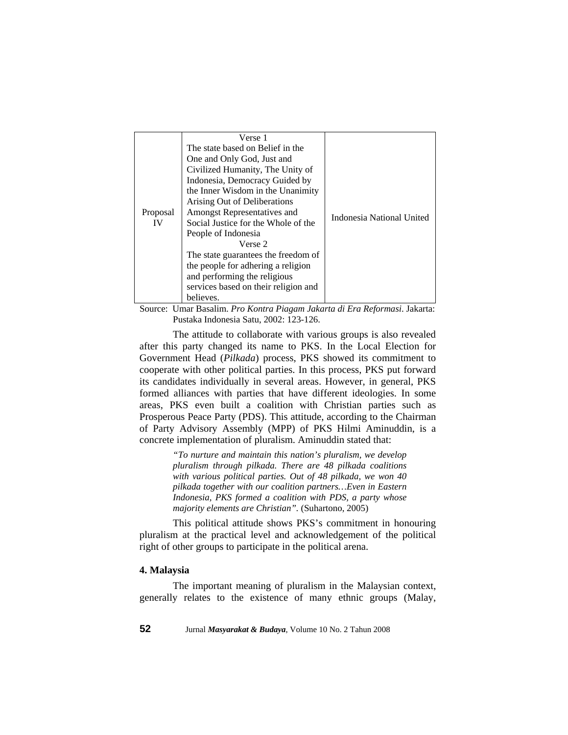|          | Verse 1                              |                           |
|----------|--------------------------------------|---------------------------|
|          | The state based on Belief in the     | Indonesia National United |
|          | One and Only God, Just and           |                           |
|          | Civilized Humanity, The Unity of     |                           |
|          | Indonesia, Democracy Guided by       |                           |
|          | the Inner Wisdom in the Unanimity    |                           |
|          | Arising Out of Deliberations         |                           |
| Proposal | Amongst Representatives and          |                           |
| IV       | Social Justice for the Whole of the  |                           |
|          | People of Indonesia                  |                           |
|          | Verse 2                              |                           |
|          | The state guarantees the freedom of  |                           |
|          | the people for adhering a religion   |                           |
|          | and performing the religious         |                           |
|          | services based on their religion and |                           |
|          | believes.                            |                           |

Source: Umar Basalim. *Pro Kontra Piagam Jakarta di Era Reformasi*. Jakarta: Pustaka Indonesia Satu, 2002: 123-126.

The attitude to collaborate with various groups is also revealed after this party changed its name to PKS. In the Local Election for Government Head (*Pilkada*) process, PKS showed its commitment to cooperate with other political parties. In this process, PKS put forward its candidates individually in several areas. However, in general, PKS formed alliances with parties that have different ideologies. In some areas, PKS even built a coalition with Christian parties such as Prosperous Peace Party (PDS). This attitude, according to the Chairman of Party Advisory Assembly (MPP) of PKS Hilmi Aminuddin, is a concrete implementation of pluralism. Aminuddin stated that:

> *"To nurture and maintain this nation's pluralism, we develop pluralism through pilkada. There are 48 pilkada coalitions with various political parties. Out of 48 pilkada, we won 40 pilkada together with our coalition partners…Even in Eastern Indonesia, PKS formed a coalition with PDS, a party whose majority elements are Christian".* (Suhartono, 2005)

This political attitude shows PKS's commitment in honouring pluralism at the practical level and acknowledgement of the political right of other groups to participate in the political arena.

# **4. Malaysia**

The important meaning of pluralism in the Malaysian context, generally relates to the existence of many ethnic groups (Malay,

**52** Jurnal *Masyarakat & Budaya*, Volume 10 No. 2 Tahun 2008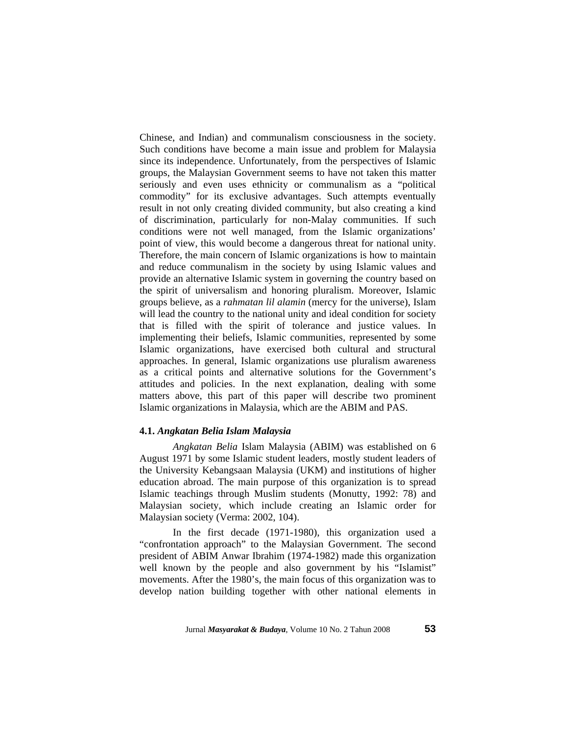Chinese, and Indian) and communalism consciousness in the society. Such conditions have become a main issue and problem for Malaysia since its independence. Unfortunately, from the perspectives of Islamic groups, the Malaysian Government seems to have not taken this matter seriously and even uses ethnicity or communalism as a "political commodity" for its exclusive advantages. Such attempts eventually result in not only creating divided community, but also creating a kind of discrimination, particularly for non-Malay communities. If such conditions were not well managed, from the Islamic organizations' point of view, this would become a dangerous threat for national unity. Therefore, the main concern of Islamic organizations is how to maintain and reduce communalism in the society by using Islamic values and provide an alternative Islamic system in governing the country based on the spirit of universalism and honoring pluralism. Moreover, Islamic groups believe, as a *rahmatan lil alamin* (mercy for the universe), Islam will lead the country to the national unity and ideal condition for society that is filled with the spirit of tolerance and justice values. In implementing their beliefs, Islamic communities, represented by some Islamic organizations, have exercised both cultural and structural approaches. In general, Islamic organizations use pluralism awareness as a critical points and alternative solutions for the Government's attitudes and policies. In the next explanation, dealing with some matters above, this part of this paper will describe two prominent Islamic organizations in Malaysia, which are the ABIM and PAS.

# **4.1.** *Angkatan Belia Islam Malaysia*

 *Angkatan Belia* Islam Malaysia (ABIM) was established on 6 August 1971 by some Islamic student leaders, mostly student leaders of the University Kebangsaan Malaysia (UKM) and institutions of higher education abroad. The main purpose of this organization is to spread Islamic teachings through Muslim students (Monutty, 1992: 78) and Malaysian society, which include creating an Islamic order for Malaysian society (Verma: 2002, 104).

 In the first decade (1971-1980), this organization used a "confrontation approach" to the Malaysian Government. The second president of ABIM Anwar Ibrahim (1974-1982) made this organization well known by the people and also government by his "Islamist" movements. After the 1980's, the main focus of this organization was to develop nation building together with other national elements in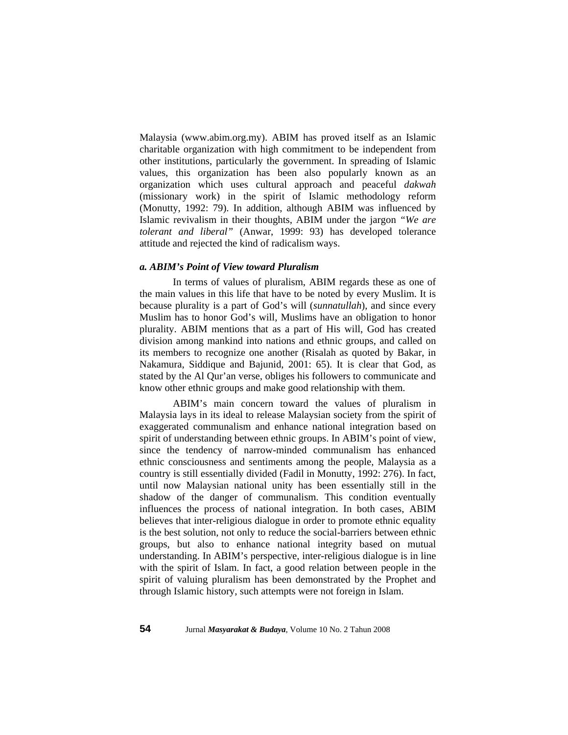Malaysia (www.abim.org.my). ABIM has proved itself as an Islamic charitable organization with high commitment to be independent from other institutions, particularly the government. In spreading of Islamic values, this organization has been also popularly known as an organization which uses cultural approach and peaceful *dakwah* (missionary work) in the spirit of Islamic methodology reform (Monutty, 1992: 79). In addition, although ABIM was influenced by Islamic revivalism in their thoughts, ABIM under the jargon *"We are tolerant and liberal"* (Anwar, 1999: 93) has developed tolerance attitude and rejected the kind of radicalism ways.

#### *a. ABIM's Point of View toward Pluralism*

 In terms of values of pluralism, ABIM regards these as one of the main values in this life that have to be noted by every Muslim. It is because plurality is a part of God's will (*sunnatullah*), and since every Muslim has to honor God's will, Muslims have an obligation to honor plurality. ABIM mentions that as a part of His will, God has created division among mankind into nations and ethnic groups, and called on its members to recognize one another (Risalah as quoted by Bakar, in Nakamura, Siddique and Bajunid, 2001: 65). It is clear that God, as stated by the Al Qur'an verse, obliges his followers to communicate and know other ethnic groups and make good relationship with them.

ABIM's main concern toward the values of pluralism in Malaysia lays in its ideal to release Malaysian society from the spirit of exaggerated communalism and enhance national integration based on spirit of understanding between ethnic groups. In ABIM's point of view, since the tendency of narrow-minded communalism has enhanced ethnic consciousness and sentiments among the people, Malaysia as a country is still essentially divided (Fadil in Monutty, 1992: 276). In fact, until now Malaysian national unity has been essentially still in the shadow of the danger of communalism. This condition eventually influences the process of national integration. In both cases, ABIM believes that inter-religious dialogue in order to promote ethnic equality is the best solution, not only to reduce the social-barriers between ethnic groups, but also to enhance national integrity based on mutual understanding. In ABIM's perspective, inter-religious dialogue is in line with the spirit of Islam. In fact, a good relation between people in the spirit of valuing pluralism has been demonstrated by the Prophet and through Islamic history, such attempts were not foreign in Islam.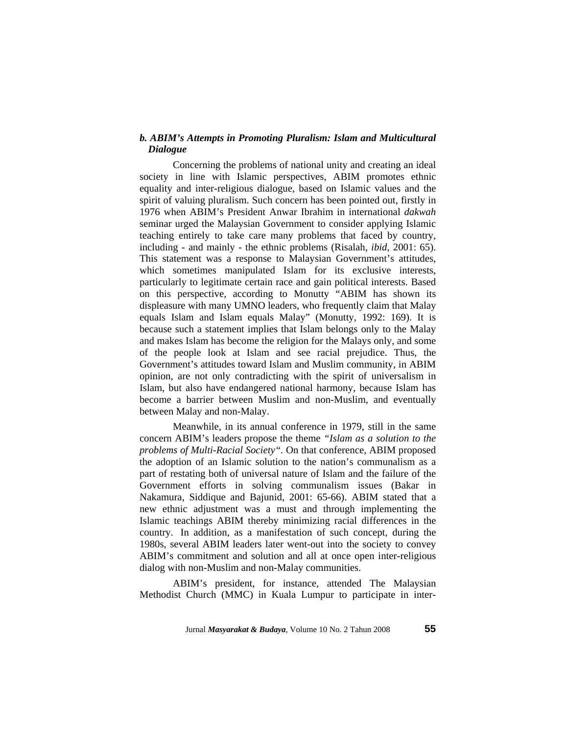# *b. ABIM's Attempts in Promoting Pluralism: Islam and Multicultural Dialogue*

Concerning the problems of national unity and creating an ideal society in line with Islamic perspectives, ABIM promotes ethnic equality and inter-religious dialogue, based on Islamic values and the spirit of valuing pluralism. Such concern has been pointed out, firstly in 1976 when ABIM's President Anwar Ibrahim in international *dakwah* seminar urged the Malaysian Government to consider applying Islamic teaching entirely to take care many problems that faced by country, including - and mainly - the ethnic problems (Risalah, *ibid*, 2001: 65). This statement was a response to Malaysian Government's attitudes, which sometimes manipulated Islam for its exclusive interests, particularly to legitimate certain race and gain political interests. Based on this perspective, according to Monutty "ABIM has shown its displeasure with many UMNO leaders, who frequently claim that Malay equals Islam and Islam equals Malay" (Monutty, 1992: 169). It is because such a statement implies that Islam belongs only to the Malay and makes Islam has become the religion for the Malays only, and some of the people look at Islam and see racial prejudice. Thus, the Government's attitudes toward Islam and Muslim community, in ABIM opinion, are not only contradicting with the spirit of universalism in Islam, but also have endangered national harmony, because Islam has become a barrier between Muslim and non-Muslim, and eventually between Malay and non-Malay.

Meanwhile, in its annual conference in 1979, still in the same concern ABIM's leaders propose the theme *"Islam as a solution to the problems of Multi-Racial Society".* On that conference, ABIM proposed the adoption of an Islamic solution to the nation's communalism as a part of restating both of universal nature of Islam and the failure of the Government efforts in solving communalism issues (Bakar in Nakamura, Siddique and Bajunid, 2001: 65-66). ABIM stated that a new ethnic adjustment was a must and through implementing the Islamic teachings ABIM thereby minimizing racial differences in the country. In addition, as a manifestation of such concept, during the 1980s, several ABIM leaders later went-out into the society to convey ABIM's commitment and solution and all at once open inter-religious dialog with non-Muslim and non-Malay communities.

ABIM's president, for instance, attended The Malaysian Methodist Church (MMC) in Kuala Lumpur to participate in inter-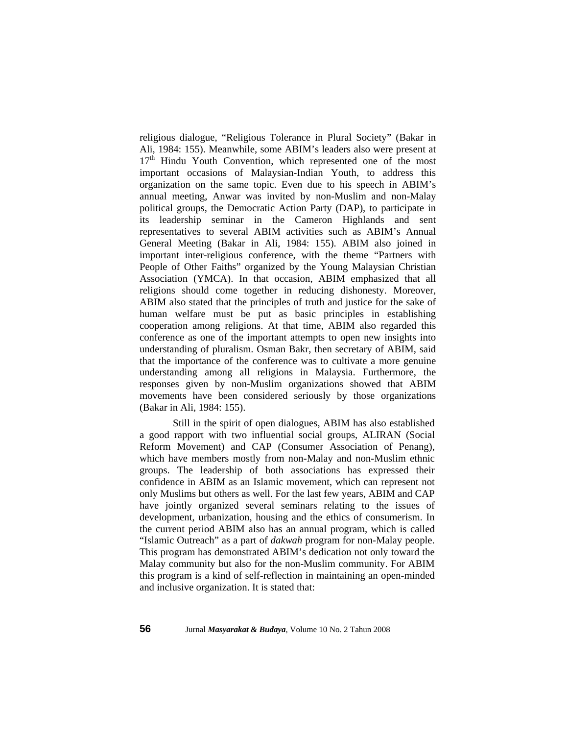religious dialogue, "Religious Tolerance in Plural Society" (Bakar in Ali, 1984: 155). Meanwhile, some ABIM's leaders also were present at  $17<sup>th</sup>$  Hindu Youth Convention, which represented one of the most important occasions of Malaysian-Indian Youth, to address this organization on the same topic. Even due to his speech in ABIM's annual meeting, Anwar was invited by non-Muslim and non-Malay political groups, the Democratic Action Party (DAP), to participate in its leadership seminar in the Cameron Highlands and sent representatives to several ABIM activities such as ABIM's Annual General Meeting (Bakar in Ali, 1984: 155). ABIM also joined in important inter-religious conference, with the theme "Partners with People of Other Faiths" organized by the Young Malaysian Christian Association (YMCA). In that occasion, ABIM emphasized that all religions should come together in reducing dishonesty. Moreover, ABIM also stated that the principles of truth and justice for the sake of human welfare must be put as basic principles in establishing cooperation among religions. At that time, ABIM also regarded this conference as one of the important attempts to open new insights into understanding of pluralism. Osman Bakr, then secretary of ABIM, said that the importance of the conference was to cultivate a more genuine understanding among all religions in Malaysia. Furthermore, the responses given by non-Muslim organizations showed that ABIM movements have been considered seriously by those organizations (Bakar in Ali, 1984: 155).

Still in the spirit of open dialogues, ABIM has also established a good rapport with two influential social groups, ALIRAN (Social Reform Movement) and CAP (Consumer Association of Penang), which have members mostly from non-Malay and non-Muslim ethnic groups. The leadership of both associations has expressed their confidence in ABIM as an Islamic movement, which can represent not only Muslims but others as well. For the last few years, ABIM and CAP have jointly organized several seminars relating to the issues of development, urbanization, housing and the ethics of consumerism. In the current period ABIM also has an annual program, which is called "Islamic Outreach" as a part of *dakwah* program for non-Malay people. This program has demonstrated ABIM's dedication not only toward the Malay community but also for the non-Muslim community. For ABIM this program is a kind of self-reflection in maintaining an open-minded and inclusive organization. It is stated that: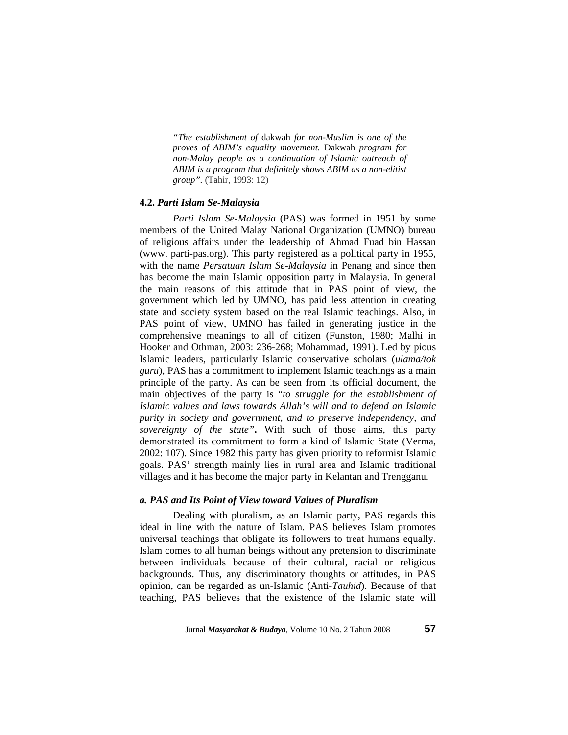*"The establishment of* dakwah *for non-Muslim is one of the proves of ABIM's equality movement.* Dakwah *program for non-Malay people as a continuation of Islamic outreach of ABIM is a program that definitely shows ABIM as a non-elitist group".* (Tahir, 1993: 12)

## **4.2.** *Parti Islam Se-Malaysia*

*Parti Islam Se-Malaysia* (PAS) was formed in 1951 by some members of the United Malay National Organization (UMNO) bureau of religious affairs under the leadership of Ahmad Fuad bin Hassan (www. parti-pas.org). This party registered as a political party in 1955, with the name *Persatuan Islam Se-Malaysia* in Penang and since then has become the main Islamic opposition party in Malaysia. In general the main reasons of this attitude that in PAS point of view, the government which led by UMNO, has paid less attention in creating state and society system based on the real Islamic teachings. Also, in PAS point of view, UMNO has failed in generating justice in the comprehensive meanings to all of citizen (Funston, 1980; Malhi in Hooker and Othman, 2003: 236-268; Mohammad, 1991). Led by pious Islamic leaders, particularly Islamic conservative scholars (*ulama/tok guru*), PAS has a commitment to implement Islamic teachings as a main principle of the party. As can be seen from its official document, the main objectives of the party is "*to struggle for the establishment of Islamic values and laws towards Allah's will and to defend an Islamic purity in society and government, and to preserve independency, and sovereignty of the state"***.** With such of those aims, this party demonstrated its commitment to form a kind of Islamic State (Verma, 2002: 107). Since 1982 this party has given priority to reformist Islamic goals. PAS' strength mainly lies in rural area and Islamic traditional villages and it has become the major party in Kelantan and Trengganu.

### *a. PAS and Its Point of View toward Values of Pluralism*

 Dealing with pluralism, as an Islamic party, PAS regards this ideal in line with the nature of Islam. PAS believes Islam promotes universal teachings that obligate its followers to treat humans equally. Islam comes to all human beings without any pretension to discriminate between individuals because of their cultural, racial or religious backgrounds. Thus, any discriminatory thoughts or attitudes, in PAS opinion, can be regarded as un-Islamic (Anti-*Tauhid*). Because of that teaching, PAS believes that the existence of the Islamic state will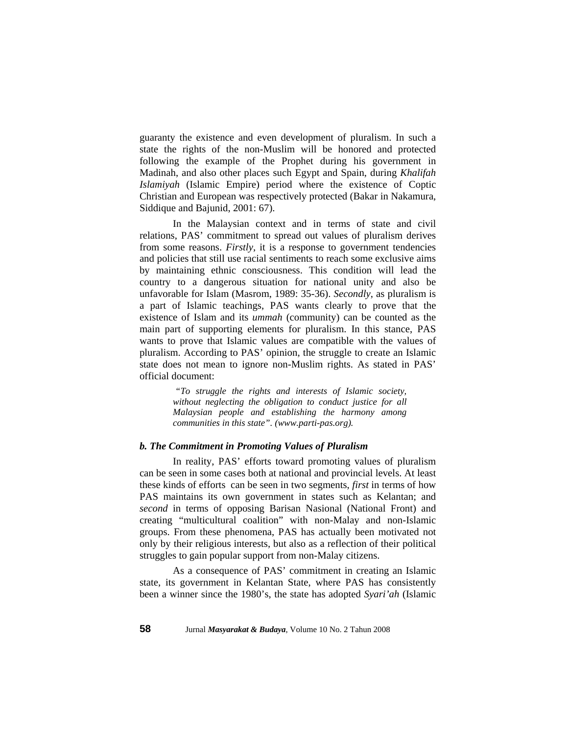guaranty the existence and even development of pluralism. In such a state the rights of the non-Muslim will be honored and protected following the example of the Prophet during his government in Madinah, and also other places such Egypt and Spain, during *Khalifah Islamiyah* (Islamic Empire) period where the existence of Coptic Christian and European was respectively protected (Bakar in Nakamura, Siddique and Bajunid, 2001: 67).

In the Malaysian context and in terms of state and civil relations, PAS' commitment to spread out values of pluralism derives from some reasons. *Firstly*, it is a response to government tendencies and policies that still use racial sentiments to reach some exclusive aims by maintaining ethnic consciousness. This condition will lead the country to a dangerous situation for national unity and also be unfavorable for Islam (Masrom, 1989: 35-36). *Secondly*, as pluralism is a part of Islamic teachings, PAS wants clearly to prove that the existence of Islam and its *ummah* (community) can be counted as the main part of supporting elements for pluralism. In this stance, PAS wants to prove that Islamic values are compatible with the values of pluralism. According to PAS' opinion, the struggle to create an Islamic state does not mean to ignore non-Muslim rights. As stated in PAS' official document:

> *"To struggle the rights and interests of Islamic society, without neglecting the obligation to conduct justice for all Malaysian people and establishing the harmony among communities in this state". (www.parti-pas.org).*

# *b. The Commitment in Promoting Values of Pluralism*

In reality, PAS' efforts toward promoting values of pluralism can be seen in some cases both at national and provincial levels. At least these kinds of efforts can be seen in two segments, *first* in terms of how PAS maintains its own government in states such as Kelantan; and *second* in terms of opposing Barisan Nasional (National Front) and creating "multicultural coalition" with non-Malay and non-Islamic groups. From these phenomena, PAS has actually been motivated not only by their religious interests, but also as a reflection of their political struggles to gain popular support from non-Malay citizens.

As a consequence of PAS' commitment in creating an Islamic state, its government in Kelantan State, where PAS has consistently been a winner since the 1980's, the state has adopted *Syari'ah* (Islamic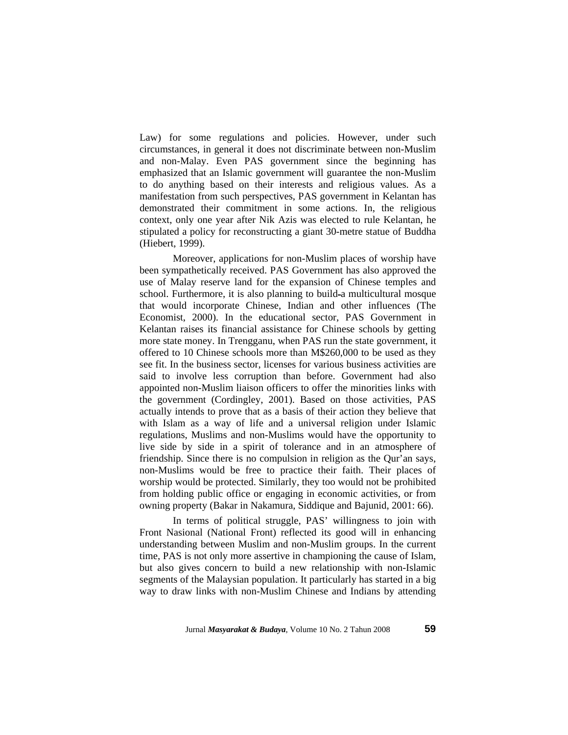Law) for some regulations and policies. However, under such circumstances, in general it does not discriminate between non-Muslim and non-Malay. Even PAS government since the beginning has emphasized that an Islamic government will guarantee the non-Muslim to do anything based on their interests and religious values. As a manifestation from such perspectives, PAS government in Kelantan has demonstrated their commitment in some actions. In, the religious context, only one year after Nik Azis was elected to rule Kelantan, he stipulated a policy for reconstructing a giant 30-metre statue of Buddha (Hiebert, 1999).

Moreover, applications for non-Muslim places of worship have been sympathetically received. PAS Government has also approved the use of Malay reserve land for the expansion of Chinese temples and school. Furthermore, it is also planning to build-a multicultural mosque that would incorporate Chinese, Indian and other influences (The Economist, 2000). In the educational sector, PAS Government in Kelantan raises its financial assistance for Chinese schools by getting more state money. In Trengganu, when PAS run the state government, it offered to 10 Chinese schools more than M\$260,000 to be used as they see fit. In the business sector, licenses for various business activities are said to involve less corruption than before. Government had also appointed non-Muslim liaison officers to offer the minorities links with the government (Cordingley, 2001). Based on those activities, PAS actually intends to prove that as a basis of their action they believe that with Islam as a way of life and a universal religion under Islamic regulations, Muslims and non-Muslims would have the opportunity to live side by side in a spirit of tolerance and in an atmosphere of friendship. Since there is no compulsion in religion as the Qur'an says, non-Muslims would be free to practice their faith. Their places of worship would be protected. Similarly, they too would not be prohibited from holding public office or engaging in economic activities, or from owning property (Bakar in Nakamura, Siddique and Bajunid, 2001: 66).

In terms of political struggle, PAS' willingness to join with Front Nasional (National Front) reflected its good will in enhancing understanding between Muslim and non-Muslim groups. In the current time, PAS is not only more assertive in championing the cause of Islam, but also gives concern to build a new relationship with non-Islamic segments of the Malaysian population. It particularly has started in a big way to draw links with non-Muslim Chinese and Indians by attending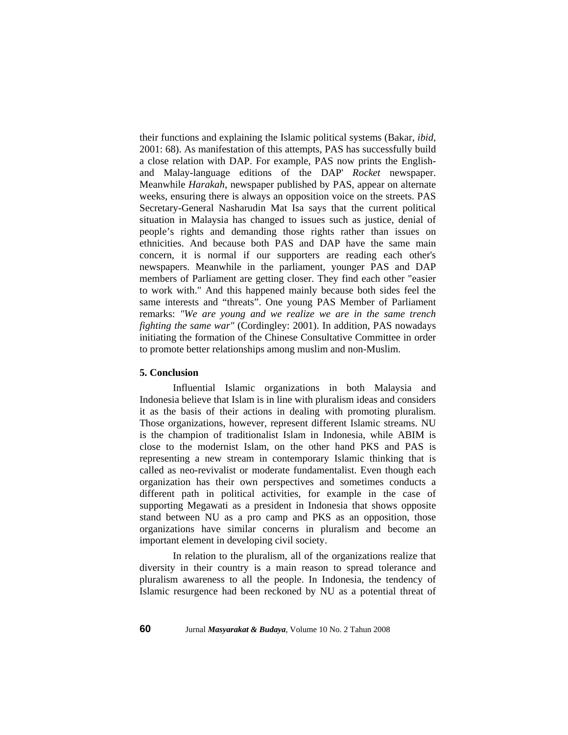their functions and explaining the Islamic political systems (Bakar, *ibid*, 2001: 68). As manifestation of this attempts, PAS has successfully build a close relation with DAP. For example, PAS now prints the Englishand Malay-language editions of the DAP' *Rocket* newspaper. Meanwhile *Harakah*, newspaper published by PAS, appear on alternate weeks, ensuring there is always an opposition voice on the streets. PAS Secretary-General Nasharudin Mat Isa says that the current political situation in Malaysia has changed to issues such as justice, denial of people's rights and demanding those rights rather than issues on ethnicities. And because both PAS and DAP have the same main concern, it is normal if our supporters are reading each other's newspapers. Meanwhile in the parliament, younger PAS and DAP members of Parliament are getting closer. They find each other "easier to work with." And this happened mainly because both sides feel the same interests and "threats". One young PAS Member of Parliament remarks: *"We are young and we realize we are in the same trench fighting the same war"* (Cordingley: 2001). In addition, PAS nowadays initiating the formation of the Chinese Consultative Committee in order to promote better relationships among muslim and non-Muslim.

## **5. Conclusion**

 Influential Islamic organizations in both Malaysia and Indonesia believe that Islam is in line with pluralism ideas and considers it as the basis of their actions in dealing with promoting pluralism. Those organizations, however, represent different Islamic streams. NU is the champion of traditionalist Islam in Indonesia, while ABIM is close to the modernist Islam, on the other hand PKS and PAS is representing a new stream in contemporary Islamic thinking that is called as neo-revivalist or moderate fundamentalist. Even though each organization has their own perspectives and sometimes conducts a different path in political activities, for example in the case of supporting Megawati as a president in Indonesia that shows opposite stand between NU as a pro camp and PKS as an opposition, those organizations have similar concerns in pluralism and become an important element in developing civil society.

In relation to the pluralism, all of the organizations realize that diversity in their country is a main reason to spread tolerance and pluralism awareness to all the people. In Indonesia, the tendency of Islamic resurgence had been reckoned by NU as a potential threat of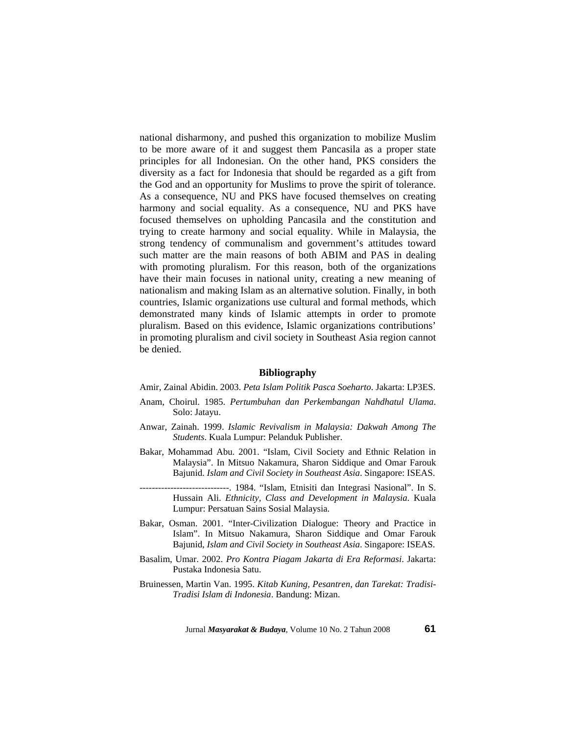national disharmony, and pushed this organization to mobilize Muslim to be more aware of it and suggest them Pancasila as a proper state principles for all Indonesian. On the other hand, PKS considers the diversity as a fact for Indonesia that should be regarded as a gift from the God and an opportunity for Muslims to prove the spirit of tolerance. As a consequence, NU and PKS have focused themselves on creating harmony and social equality. As a consequence, NU and PKS have focused themselves on upholding Pancasila and the constitution and trying to create harmony and social equality. While in Malaysia, the strong tendency of communalism and government's attitudes toward such matter are the main reasons of both ABIM and PAS in dealing with promoting pluralism. For this reason, both of the organizations have their main focuses in national unity, creating a new meaning of nationalism and making Islam as an alternative solution. Finally, in both countries, Islamic organizations use cultural and formal methods, which demonstrated many kinds of Islamic attempts in order to promote pluralism. Based on this evidence, Islamic organizations contributions' in promoting pluralism and civil society in Southeast Asia region cannot be denied.

## **Bibliography**

Amir, Zainal Abidin. 2003. *Peta Islam Politik Pasca Soeharto*. Jakarta: LP3ES.

- Anam, Choirul. 1985. *Pertumbuhan dan Perkembangan Nahdhatul Ulama*. Solo: Jatayu.
- Anwar, Zainah. 1999. *Islamic Revivalism in Malaysia: Dakwah Among The Students*. Kuala Lumpur: Pelanduk Publisher.
- Bakar, Mohammad Abu. 2001. "Islam, Civil Society and Ethnic Relation in Malaysia". In Mitsuo Nakamura, Sharon Siddique and Omar Farouk Bajunid. *Islam and Civil Society in Southeast Asia*. Singapore: ISEAS.
- -----------------------------. 1984. "Islam, Etnisiti dan Integrasi Nasional". In S. Hussain Ali. *Ethnicity, Class and Development in Malaysia*. Kuala Lumpur: Persatuan Sains Sosial Malaysia.
- Bakar, Osman. 2001. "Inter-Civilization Dialogue: Theory and Practice in Islam". In Mitsuo Nakamura, Sharon Siddique and Omar Farouk Bajunid, *Islam and Civil Society in Southeast Asia*. Singapore: ISEAS.
- Basalim, Umar. 2002. *Pro Kontra Piagam Jakarta di Era Reformasi*. Jakarta: Pustaka Indonesia Satu.
- Bruinessen, Martin Van. 1995. *Kitab Kuning, Pesantren, dan Tarekat: Tradisi-Tradisi Islam di Indonesia*. Bandung: Mizan.

Jurnal *Masyarakat & Budaya*, Volume 10 No. 2 Tahun 2008 **61**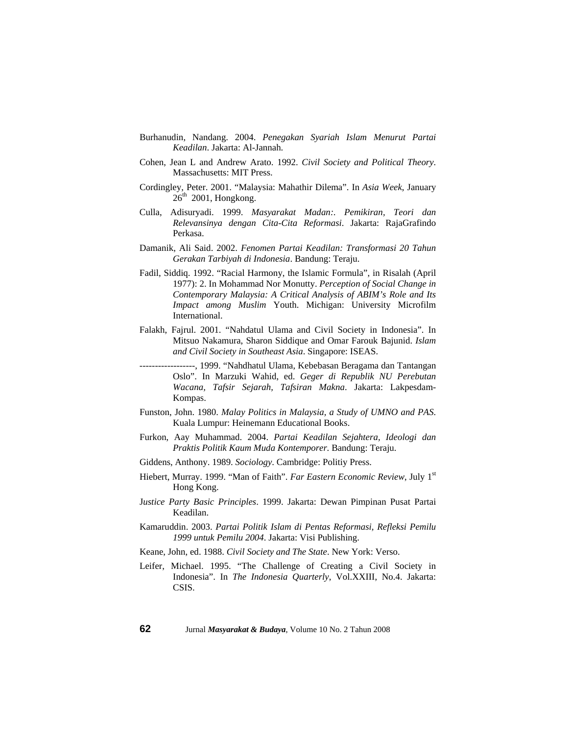- Burhanudin, Nandang. 2004. *Penegakan Syariah Islam Menurut Partai Keadilan*. Jakarta: Al-Jannah.
- Cohen, Jean L and Andrew Arato. 1992. *Civil Society and Political Theory*. Massachusetts: MIT Press.
- Cordingley, Peter. 2001. "Malaysia: Mahathir Dilema". In *Asia Week*, January  $26<sup>th</sup>$  2001, Hongkong.
- Culla, Adisuryadi. 1999. *Masyarakat Madan:. Pemikiran, Teori dan Relevansinya dengan Cita-Cita Reformasi*. Jakarta: RajaGrafindo Perkasa.
- Damanik, Ali Said. 2002. *Fenomen Partai Keadilan: Transformasi 20 Tahun Gerakan Tarbiyah di Indonesia*. Bandung: Teraju.
- Fadil, Siddiq. 1992. "Racial Harmony, the Islamic Formula", in Risalah (April 1977): 2. In Mohammad Nor Monutty. *Perception of Social Change in Contemporary Malaysia: A Critical Analysis of ABIM's Role and Its Impact among Muslim* Youth. Michigan: University Microfilm International.
- Falakh, Fajrul. 2001. "Nahdatul Ulama and Civil Society in Indonesia". In Mitsuo Nakamura, Sharon Siddique and Omar Farouk Bajunid. *Islam and Civil Society in Southeast Asia*. Singapore: ISEAS.
- ------------------, 1999. "Nahdhatul Ulama, Kebebasan Beragama dan Tantangan Oslo". In Marzuki Wahid, ed. *Geger di Republik NU Perebutan Wacana, Tafsir Sejarah, Tafsiran Makna*. Jakarta: Lakpesdam-Kompas.
- Funston, John. 1980. *Malay Politics in Malaysia, a Study of UMNO and PAS*. Kuala Lumpur: Heinemann Educational Books.
- Furkon, Aay Muhammad. 2004. *Partai Keadilan Sejahtera, Ideologi dan Praktis Politik Kaum Muda Kontemporer*. Bandung: Teraju.
- Giddens, Anthony. 1989. *Sociology*. Cambridge: Politiy Press.
- Hiebert, Murray. 1999. "Man of Faith". *Far Eastern Economic Review*, July 1st Hong Kong.
- J*ustice Party Basic Principles*. 1999. Jakarta: Dewan Pimpinan Pusat Partai Keadilan.
- Kamaruddin. 2003. *Partai Politik Islam di Pentas Reformasi, Refleksi Pemilu 1999 untuk Pemilu 2004*. Jakarta: Visi Publishing.
- Keane, John, ed. 1988. *Civil Society and The State*. New York: Verso.
- Leifer, Michael. 1995. "The Challenge of Creating a Civil Society in Indonesia". In *The Indonesia Quarterly*, Vol.XXIII, No.4. Jakarta: CSIS.

**62** Jurnal *Masyarakat & Budaya*, Volume 10 No. 2 Tahun 2008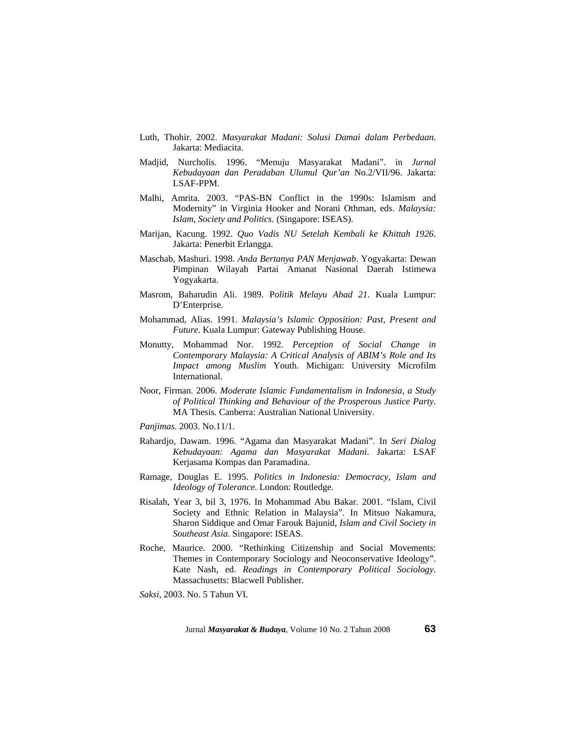- Luth, Thohir. 2002. *Masyarakat Madani: Solusi Damai dalam Perbedaan*. Jakarta: Mediacita.
- Madjid, Nurcholis. 1996. "Menuju Masyarakat Madani". in *Jurnal Kebudayaan dan Peradaban Ulumul Qur'an* No.2/VII/96. Jakarta: LSAF-PPM.
- Malhi, Amrita. 2003. "PAS-BN Conflict in the 1990s: Islamism and Modernity" in Virginia Hooker and Norani Othman, eds. *Malaysia: Islam, Society and Politics*. (Singapore: ISEAS).
- Marijan, Kacung. 1992. *Quo Vadis NU Setelah Kembali ke Khittah 1926*. Jakarta: Penerbit Erlangga.
- Maschab, Mashuri. 1998. *Anda Bertanya PAN Menjawab*. Yogyakarta: Dewan Pimpinan Wilayah Partai Amanat Nasional Daerah Istimewa Yogyakarta.
- Masrom, Baharudin Ali. 1989. P*olitik Melayu Abad 21*. Kuala Lumpur: D'Enterprise.
- Mohammad, Alias. 1991. *Malaysia's Islamic Opposition: Past, Present and Future*. Kuala Lumpur: Gateway Publishing House.
- Monutty, Mohammad Nor. 1992. *Perception of Social Change in Contemporary Malaysia: A Critical Analysis of ABIM's Role and Its Impact among Muslim* Youth. Michigan: University Microfilm International.
- Noor, Firman. 2006. *Moderate Islamic Fundamentalism in Indonesia, a Study of Political Thinking and Behaviour of the Prosperous Justice Party*. MA Thesis. Canberra: Australian National University.

*Panjimas*. 2003. No.11/1.

- Rahardjo, Dawam. 1996. "Agama dan Masyarakat Madani". In *Seri Dialog Kebudayaan: Agama dan Masyarakat Madani*. Jakarta: LSAF Kerjasama Kompas dan Paramadina.
- Ramage, Douglas E. 1995. *Politics in Indonesia: Democracy, Islam and Ideology of Tolerance*. London: Routledge.
- Risalah, Year 3, bil 3, 1976. In Mohammad Abu Bakar. 2001. "Islam, Civil Society and Ethnic Relation in Malaysia". In Mitsuo Nakamura, Sharon Siddique and Omar Farouk Bajunid, *Islam and Civil Society in Southeast Asia*. Singapore: ISEAS.
- Roche, Maurice. 2000. "Rethinking Citizenship and Social Movements: Themes in Contemporary Sociology and Neoconservative Ideology". Kate Nash, ed. *Readings in Contemporary Political Sociology*. Massachusetts: Blacwell Publisher.

*Saksi*, 2003. No. 5 Tahun VI.

Jurnal *Masyarakat & Budaya*, Volume 10 No. 2 Tahun 2008 **63**